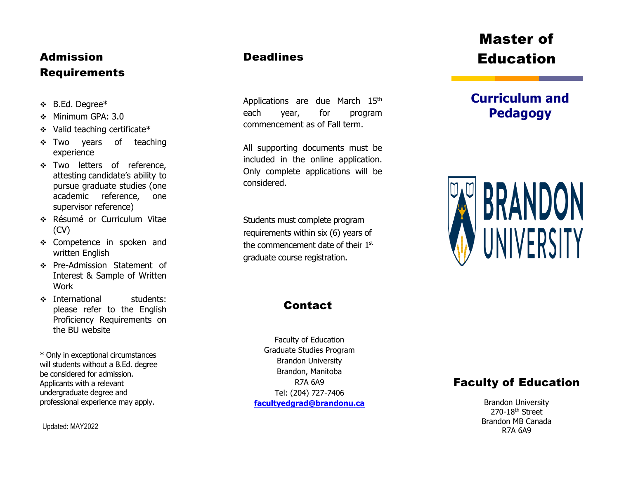## Admission Requirements

- B.Ed. Degree\*
- Minimum GPA: 3.0
- Valid teaching certificate\*
- Two years of teaching experience
- \* Two letters of reference, attesting candidate's ability to pursue graduate studies (one academic reference, one supervisor reference)
- Résumé or Curriculum Vitae (CV)
- \* Competence in spoken and written English
- Pre -Admission Statement of Interest & Sample of Written Work
- **Example 12** international students: please refer to the English Proficiency Requirements on the BU website

\* Only in exceptional circumstances will students without a B.Ed. degree be considered for admission. Applicants with a relevant undergraduate degree and professional experience may apply.

Updated: MAY2022

## **Deadlines**

Applications are due March 15<sup>th</sup> each year, for program commencement as of Fall term.

All supporting documents must be included in the online application. Only complete applications will be considered.

Students must complete program requirements within six (6) years of the commencement date of their 1st graduate course registration.

## **Contact**

Faculty of Education Graduate Studies Program Brandon University Brandon, Manitoba R7A 6A9 Tel: (204) 727 - 7406 **[facultyedgrad@brandonu.ca](mailto:facultyedgrad@brandonu.ca)**

# Master of Education

# **Curriculum and Pedagogy**



## Faculty of Education

Brandon University 270-18<sup>th</sup> Street Brandon MB Canada R7A 6A9